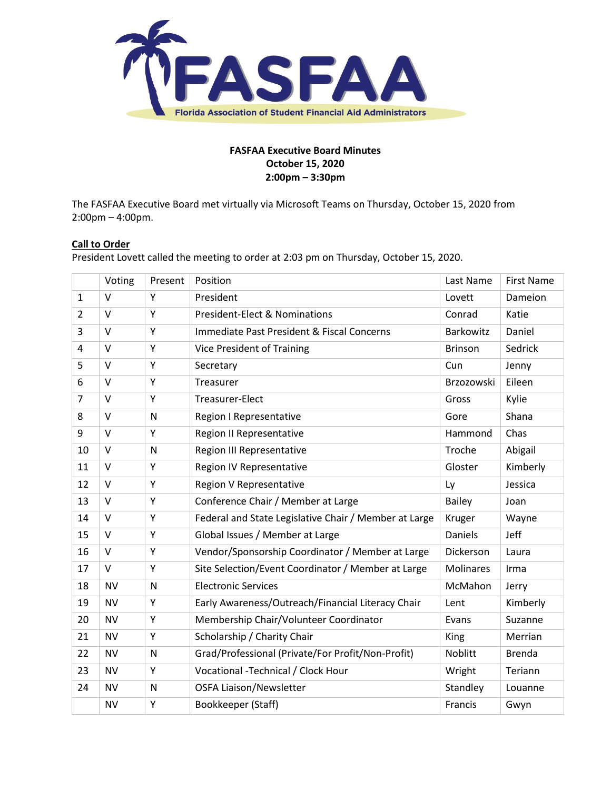

## **FASFAA Executive Board Minutes October 15, 2020 2:00pm – 3:30pm**

The FASFAA Executive Board met virtually via Microsoft Teams on Thursday, October 15, 2020 from 2:00pm – 4:00pm.

# **Call to Order**

President Lovett called the meeting to order at 2:03 pm on Thursday, October 15, 2020.

|                | Voting    | Present | Position                                              | Last Name      | <b>First Name</b> |
|----------------|-----------|---------|-------------------------------------------------------|----------------|-------------------|
| $\mathbf{1}$   | $\vee$    | Υ       | President                                             | Lovett         | Dameion           |
| $\overline{2}$ | $\vee$    | Y       | <b>President-Elect &amp; Nominations</b>              | Conrad         | Katie             |
| 3              | $\vee$    | Y       | Immediate Past President & Fiscal Concerns            | Barkowitz      | Daniel            |
| 4              | $\vee$    | Y       | <b>Vice President of Training</b>                     | <b>Brinson</b> | Sedrick           |
| 5              | $\vee$    | Y       | Secretary                                             | Cun            | Jenny             |
| 6              | $\vee$    | Y       | Treasurer                                             | Brzozowski     | Eileen            |
| $\overline{7}$ | $\vee$    | Y       | Treasurer-Elect                                       | Gross          | Kylie             |
| 8              | $\vee$    | N       | Region I Representative                               | Gore           | Shana             |
| 9              | $\vee$    | Υ       | Region II Representative                              | Hammond        | Chas              |
| 10             | $\vee$    | N       | Region III Representative                             | Troche         | Abigail           |
| 11             | $\vee$    | Y       | Region IV Representative                              | Gloster        | Kimberly          |
| 12             | $\vee$    | Υ       | Region V Representative                               | Ly             | Jessica           |
| 13             | $\vee$    | Y       | Conference Chair / Member at Large                    | <b>Bailey</b>  | Joan              |
| 14             | $\vee$    | Υ       | Federal and State Legislative Chair / Member at Large | Kruger         | Wayne             |
| 15             | $\vee$    | Y       | Global Issues / Member at Large                       | <b>Daniels</b> | Jeff              |
| 16             | V         | Υ       | Vendor/Sponsorship Coordinator / Member at Large      | Dickerson      | Laura             |
| 17             | $\vee$    | Υ       | Site Selection/Event Coordinator / Member at Large    | Molinares      | Irma              |
| 18             | <b>NV</b> | N       | <b>Electronic Services</b>                            | McMahon        | Jerry             |
| 19             | <b>NV</b> | Υ       | Early Awareness/Outreach/Financial Literacy Chair     | Lent           | Kimberly          |
| 20             | <b>NV</b> | Υ       | Membership Chair/Volunteer Coordinator                | Evans          | Suzanne           |
| 21             | <b>NV</b> | Υ       | Scholarship / Charity Chair                           | King           | Merrian           |
| 22             | <b>NV</b> | N       | Grad/Professional (Private/For Profit/Non-Profit)     | Noblitt        | <b>Brenda</b>     |
| 23             | <b>NV</b> | Υ       | Vocational -Technical / Clock Hour                    | Wright         | Teriann           |
| 24             | <b>NV</b> | N       | <b>OSFA Liaison/Newsletter</b>                        | Standley       | Louanne           |
|                | <b>NV</b> | Υ       | Bookkeeper (Staff)                                    | Francis        | Gwyn              |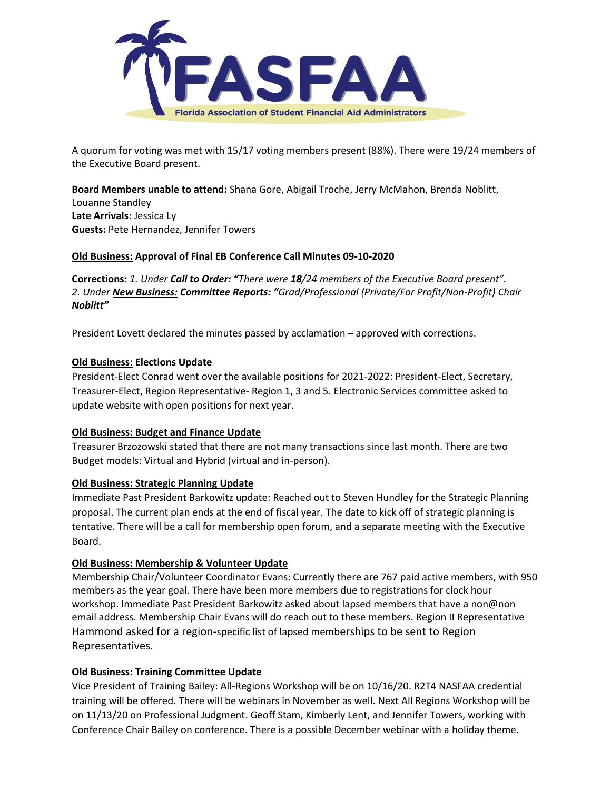

A quorum for voting was met with 15/17 voting members present (88%). There were 19/24 members of the Executive Board present.

**Board Members unable to attend:** Shana Gore, Abigail Troche, Jerry McMahon, Brenda Noblitt, Louanne Standley **Late Arrivals:** Jessica Ly **Guests:** Pete Hernandez, Jennifer Towers

### **Old Business: Approval of Final EB Conference Call Minutes 09-10-2020**

**Corrections:** *1. Under Call to Order: "There were 18/24 members of the Executive Board present". 2. Under New Business: Committee Reports: "Grad/Professional (Private/For Profit/Non-Profit) Chair Noblitt"*

President Lovett declared the minutes passed by acclamation – approved with corrections.

### **Old Business: Elections Update**

President-Elect Conrad went over the available positions for 2021-2022: President-Elect, Secretary, Treasurer-Elect, Region Representative- Region 1, 3 and 5. Electronic Services committee asked to update website with open positions for next year.

### **Old Business: Budget and Finance Update**

Treasurer Brzozowski stated that there are not many transactions since last month. There are two Budget models: Virtual and Hybrid (virtual and in-person).

### **Old Business: Strategic Planning Update**

Immediate Past President Barkowitz update: Reached out to Steven Hundley for the Strategic Planning proposal. The current plan ends at the end of fiscal year. The date to kick off of strategic planning is tentative. There will be a call for membership open forum, and a separate meeting with the Executive Board.

### **Old Business: Membership & Volunteer Update**

Membership Chair/Volunteer Coordinator Evans: Currently there are 767 paid active members, with 950 members as the year goal. There have been more members due to registrations for clock hour workshop. Immediate Past President Barkowitz asked about lapsed members that have a non@non email address. Membership Chair Evans will do reach out to these members. Region II Representative Hammond asked for a region-specific list of lapsed memberships to be sent to Region Representatives.

### **Old Business: Training Committee Update**

Vice President of Training Bailey: All-Regions Workshop will be on 10/16/20. R2T4 NASFAA credential training will be offered. There will be webinars in November as well. Next All Regions Workshop will be on 11/13/20 on Professional Judgment. Geoff Stam, Kimberly Lent, and Jennifer Towers, working with Conference Chair Bailey on conference. There is a possible December webinar with a holiday theme.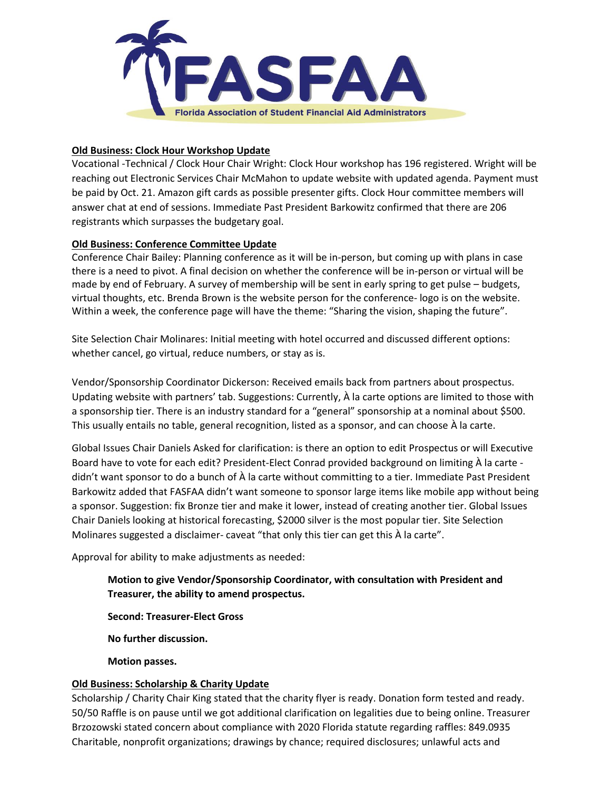

### **Old Business: Clock Hour Workshop Update**

Vocational -Technical / Clock Hour Chair Wright: Clock Hour workshop has 196 registered. Wright will be reaching out Electronic Services Chair McMahon to update website with updated agenda. Payment must be paid by Oct. 21. Amazon gift cards as possible presenter gifts. Clock Hour committee members will answer chat at end of sessions. Immediate Past President Barkowitz confirmed that there are 206 registrants which surpasses the budgetary goal.

### **Old Business: Conference Committee Update**

Conference Chair Bailey: Planning conference as it will be in-person, but coming up with plans in case there is a need to pivot. A final decision on whether the conference will be in-person or virtual will be made by end of February. A survey of membership will be sent in early spring to get pulse – budgets, virtual thoughts, etc. Brenda Brown is the website person for the conference- logo is on the website. Within a week, the conference page will have the theme: "Sharing the vision, shaping the future".

Site Selection Chair Molinares: Initial meeting with hotel occurred and discussed different options: whether cancel, go virtual, reduce numbers, or stay as is.

Vendor/Sponsorship Coordinator Dickerson: Received emails back from partners about prospectus. Updating website with partners' tab. Suggestions: Currently, À la carte options are limited to those with a sponsorship tier. There is an industry standard for a "general" sponsorship at a nominal about \$500. This usually entails no table, general recognition, listed as a sponsor, and can choose À la carte.

Global Issues Chair Daniels Asked for clarification: is there an option to edit Prospectus or will Executive Board have to vote for each edit? President-Elect Conrad provided background on limiting À la carte didn't want sponsor to do a bunch of À la carte without committing to a tier. Immediate Past President Barkowitz added that FASFAA didn't want someone to sponsor large items like mobile app without being a sponsor. Suggestion: fix Bronze tier and make it lower, instead of creating another tier. Global Issues Chair Daniels looking at historical forecasting, \$2000 silver is the most popular tier. Site Selection Molinares suggested a disclaimer- caveat "that only this tier can get this À la carte".

Approval for ability to make adjustments as needed:

# **Motion to give Vendor/Sponsorship Coordinator, with consultation with President and Treasurer, the ability to amend prospectus.**

**Second: Treasurer-Elect Gross**

**No further discussion.** 

**Motion passes.**

## **Old Business: Scholarship & Charity Update**

Scholarship / Charity Chair King stated that the charity flyer is ready. Donation form tested and ready. 50/50 Raffle is on pause until we got additional clarification on legalities due to being online. Treasurer Brzozowski stated concern about compliance with 2020 Florida statute regarding raffles: 849.0935 Charitable, nonprofit organizations; drawings by chance; required disclosures; unlawful acts and